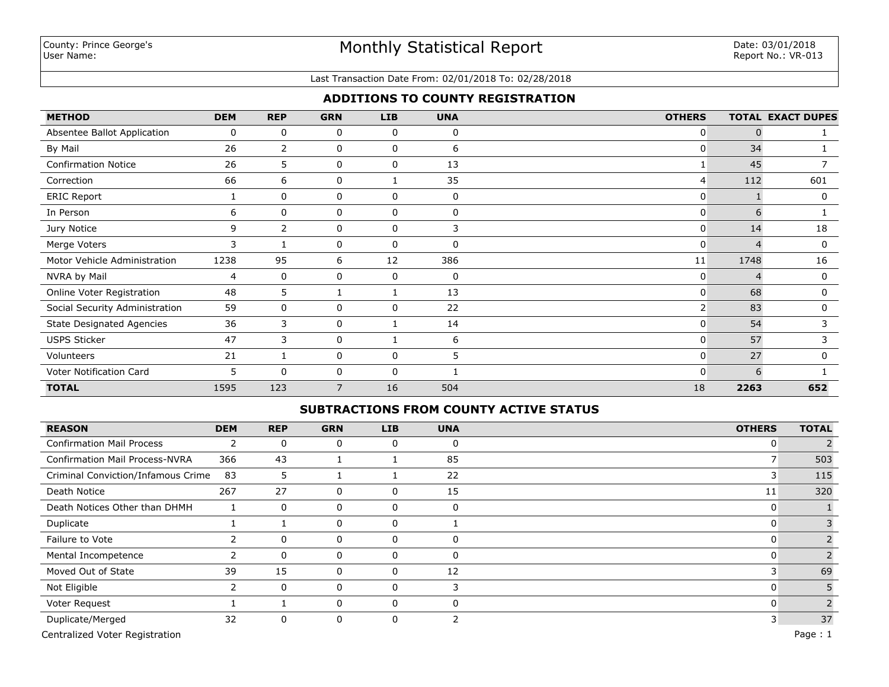#### Last Transaction Date From: 02/01/2018 To: 02/28/2018

## **ADDITIONS TO COUNTY REGISTRATION**

| <b>METHOD</b>                    | <b>DEM</b> | <b>REP</b>     | <b>GRN</b>  | <b>LIB</b>  | <b>UNA</b>  | <b>OTHERS</b>  |          | <b>TOTAL EXACT DUPES</b> |
|----------------------------------|------------|----------------|-------------|-------------|-------------|----------------|----------|--------------------------|
| Absentee Ballot Application      | 0          | 0              | 0           | 0           | 0           | 0              | 0        |                          |
| By Mail                          | 26         | $\overline{2}$ | 0           | 0           | 6           | $\mathbf{0}$   | 34       |                          |
| <b>Confirmation Notice</b>       | 26         | 5              | 0           | 0           | 13          |                | 45       |                          |
| Correction                       | 66         | 6              | 0           |             | 35          | 4              | 112      | 601                      |
| <b>ERIC Report</b>               |            | $\mathbf 0$    | $\mathbf 0$ | 0           | $\mathbf 0$ | $\mathbf{0}$   |          | $\mathbf{0}$             |
| In Person                        | 6          | 0              | $\mathbf 0$ | $\mathbf 0$ | 0           | $\mathbf{0}$   | 6        |                          |
| Jury Notice                      | 9          | 2              | 0           | $\mathbf 0$ | 3           | $\mathbf{0}$   | 14       | 18                       |
| Merge Voters                     | 3          |                | 0           | 0           | 0           | $\mathbf{0}$   | $\Delta$ | 0                        |
| Motor Vehicle Administration     | 1238       | 95             | 6           | 12          | 386         | 11             | 1748     | 16                       |
| NVRA by Mail                     | 4          | 0              | 0           | 0           | 0           | 0              |          | 0                        |
| Online Voter Registration        | 48         | 5              |             |             | 13          | $\mathbf{0}$   | 68       | 0                        |
| Social Security Administration   | 59         | 0              | 0           | 0           | 22          | $\overline{2}$ | 83       | 0                        |
| <b>State Designated Agencies</b> | 36         | 3              | 0           |             | 14          | $\mathbf{0}$   | 54       | 3                        |
| <b>USPS Sticker</b>              | 47         | 3              | 0           |             | 6           | $\mathbf{0}$   | 57       | 3                        |
| Volunteers                       | 21         |                | 0           | $\mathbf 0$ | 5.          | 0              | 27       | 0                        |
| Voter Notification Card          | 5          | $\Omega$       | 0           | $\mathbf 0$ |             | 0              | 6        |                          |
| <b>TOTAL</b>                     | 1595       | 123            | 7           | 16          | 504         | 18             | 2263     | 652                      |

### **SUBTRACTIONS FROM COUNTY ACTIVE STATUS**

| <b>REASON</b>                         | <b>DEM</b> | <b>REP</b>  | <b>GRN</b>  | LIB | <b>UNA</b> | <b>OTHERS</b> | <b>TOTAL</b> |
|---------------------------------------|------------|-------------|-------------|-----|------------|---------------|--------------|
| <b>Confirmation Mail Process</b>      | 2          | 0           | 0           | 0   | 0          | 0             |              |
| <b>Confirmation Mail Process-NVRA</b> | 366        | 43          |             |     | 85         |               | 503          |
| Criminal Conviction/Infamous Crime    | 83         | 5           |             |     | 22         | 3             | 115          |
| Death Notice                          | 267        | 27          | 0           | 0   | 15         | 11            | 320          |
| Death Notices Other than DHMH         |            | 0           | 0           | 0   | 0          | 0             |              |
| Duplicate                             |            |             | 0           | 0   |            | 0             |              |
| Failure to Vote                       |            | $\Omega$    | 0           | 0   | $\Omega$   | 0             |              |
| Mental Incompetence                   |            | 0           | $\mathbf 0$ | 0   | $\Omega$   | 0             |              |
| Moved Out of State                    | 39         | 15          | 0           | 0   | 12         |               | 69           |
| Not Eligible                          |            | $\mathbf 0$ | 0           | 0   |            | 0             |              |
| Voter Request                         |            |             | 0           | 0   | 0          | 0             |              |
| Duplicate/Merged                      | 32         | 0           | 0           | 0   | 2          |               | 37           |

Centralized Voter Registration Page : 1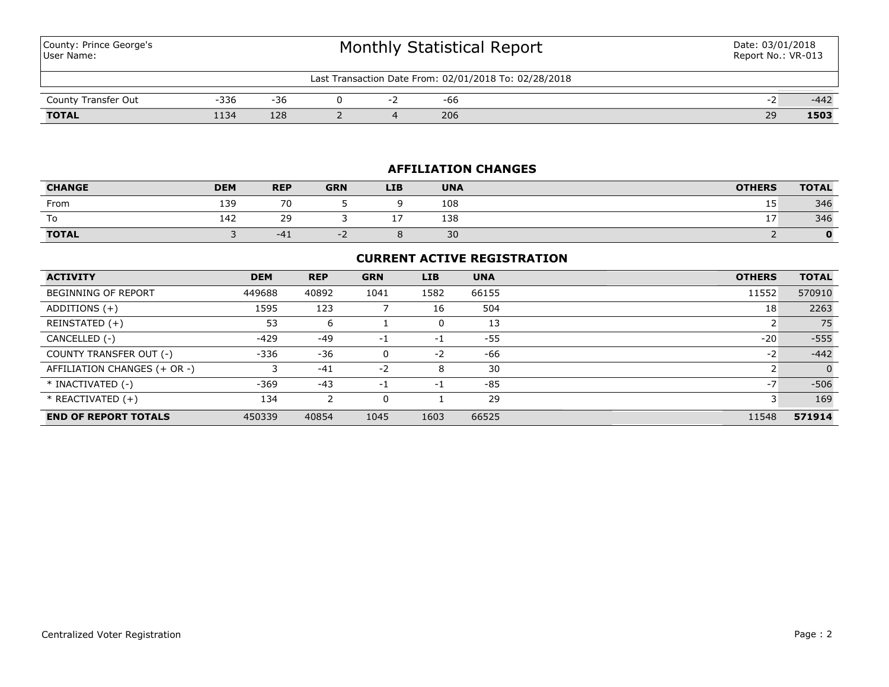County: Prince George's User Name:

| Last Transaction Date From: 02/01/2018 To: 02/28/2018 |      |     |  |  |     |  |    |        |  |  |
|-------------------------------------------------------|------|-----|--|--|-----|--|----|--------|--|--|
| County Transfer Out                                   | -336 | -36 |  |  | -66 |  |    | $-442$ |  |  |
| <b>TOTAL</b>                                          | 134  | 128 |  |  | 206 |  | 29 | 1503   |  |  |

## **AFFILIATION CHANGES**

| <b>CHANGE</b> | <b>DEM</b> | <b>REP</b>               | <b>GRN</b> | <b>LIB</b> | <b>UNA</b> | <b>OTHERS</b> | <b>TOTAL</b> |
|---------------|------------|--------------------------|------------|------------|------------|---------------|--------------|
| From          | 139<br>∸J. | $\overline{\phantom{a}}$ |            |            | 108        | . .<br>ᅩ      | 346          |
| To            | 142        | $\sim$<br>29             |            | . .        | 138        | <b>. .</b>    | 346          |
| <b>TOTAL</b>  |            | $-41$                    |            |            | 30         |               | $\mathbf{O}$ |

## **CURRENT ACTIVE REGISTRATION**

| <b>ACTIVITY</b>              | <b>DEM</b> | <b>REP</b> | <b>GRN</b> | <b>LIB</b> | <b>UNA</b> | <b>OTHERS</b> | <b>TOTAL</b> |
|------------------------------|------------|------------|------------|------------|------------|---------------|--------------|
| BEGINNING OF REPORT          | 449688     | 40892      | 1041       | 1582       | 66155      | 11552         | 570910       |
| ADDITIONS (+)                | 1595       | 123        |            | 16         | 504        | 18            | 2263         |
| REINSTATED (+)               | 53         | 6          |            | 0          | 13         |               | 75           |
| CANCELLED (-)                | -429       | $-49$      | -1         | $-1$       | -55        | $-20$         | $-555$       |
| COUNTY TRANSFER OUT (-)      | $-336$     | $-36$      |            | $-2$       | -66        | $-2$          | $-442$       |
| AFFILIATION CHANGES (+ OR -) |            | $-41$      | $-2$       | 8          | 30         |               | $\Omega$     |
| * INACTIVATED (-)            | $-369$     | $-43$      | -1         | -1         | -85        | $-7$          | $-506$       |
| $*$ REACTIVATED $(+)$        | 134        | 2          | $\Omega$   |            | 29         |               | 169          |
| <b>END OF REPORT TOTALS</b>  | 450339     | 40854      | 1045       | 1603       | 66525      | 11548         | 571914       |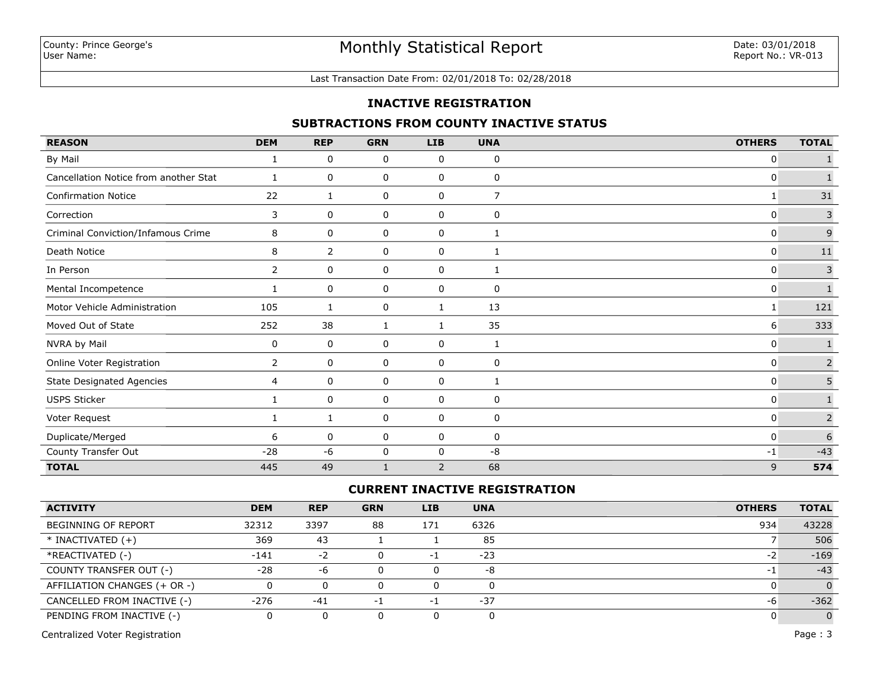### Last Transaction Date From: 02/01/2018 To: 02/28/2018

#### **INACTIVE REGISTRATION**

#### **SUBTRACTIONS FROM COUNTY INACTIVE STATUS**

| <b>REASON</b>                         | <b>DEM</b>     | <b>REP</b> | <b>GRN</b> | <b>LIB</b> | <b>UNA</b>   | <b>OTHERS</b> | <b>TOTAL</b>   |
|---------------------------------------|----------------|------------|------------|------------|--------------|---------------|----------------|
| By Mail                               |                | 0          | 0          | 0          | 0            | 0             |                |
| Cancellation Notice from another Stat | 1              | 0          | 0          | 0          | 0            | 0             |                |
| <b>Confirmation Notice</b>            | 22             | 1          | 0          | 0          | 7            | 1             | 31             |
| Correction                            | 3              | 0          | 0          | 0          | 0            | 0             | $\mathsf 3$    |
| Criminal Conviction/Infamous Crime    | 8              | 0          | 0          | 0          | $\mathbf{1}$ | 0             | $\mathsf 9$    |
| Death Notice                          | 8              | 2          | 0          | 0          | 1            | $\mathbf{0}$  | $11\,$         |
| In Person                             | $\overline{2}$ | 0          | 0          | 0          | 1            | 0             | $\mathsf{3}$   |
| Mental Incompetence                   |                | 0          | 0          | 0          | $\mathbf 0$  | 0             |                |
| Motor Vehicle Administration          | 105            | 1          | 0          | 1          | 13           | 1             | 121            |
| Moved Out of State                    | 252            | 38         | 1          | 1          | 35           | 6             | 333            |
| NVRA by Mail                          | 0              | 0          | 0          | 0          | $\mathbf{1}$ | 0             | 1              |
| Online Voter Registration             | $\overline{2}$ | 0          | 0          | 0          | $\mathbf 0$  | 0             | 2              |
| <b>State Designated Agencies</b>      | 4              | 0          | 0          | 0          | 1            | 0             | 5              |
| <b>USPS Sticker</b>                   |                | 0          | 0          | 0          | $\mathbf 0$  | $\mathbf{0}$  | $\mathbf{1}$   |
| Voter Request                         |                | 1          | 0          | 0          | 0            | 0             | $\overline{2}$ |
| Duplicate/Merged                      | 6              | 0          | 0          | 0          | 0            | 0             | 6              |
| County Transfer Out                   | $-28$          | $-6$       | 0          | 0          | -8           | $-1$          | $-43$          |
| <b>TOTAL</b>                          | 445            | 49         |            | 2          | 68           | 9             | 574            |

## **CURRENT INACTIVE REGISTRATION**

| <b>ACTIVITY</b>              | <b>DEM</b> | <b>REP</b> | <b>GRN</b>   | LIB | <b>UNA</b> | <b>OTHERS</b> | <b>TOTAL</b> |
|------------------------------|------------|------------|--------------|-----|------------|---------------|--------------|
| BEGINNING OF REPORT          | 32312      | 3397       | 88           | 171 | 6326       | 934           | 43228        |
| $*$ INACTIVATED $(+)$        | 369        | 43         |              |     | 85         |               | 506          |
| *REACTIVATED (-)             | $-141$     | $-2$       | <sup>n</sup> | - 1 | $-23$      | $-2$          | $-169$       |
| COUNTY TRANSFER OUT (-)      | $-28$      | -6         | 0            |     | -8         |               | $-43$        |
| AFFILIATION CHANGES (+ OR -) |            |            | 0            |     | 0          |               | $\Omega$     |
| CANCELLED FROM INACTIVE (-)  | $-276$     | $-41$      | -1           | - 1 | $-37$      | -6            | $-362$       |
| PENDING FROM INACTIVE (-)    |            |            |              |     |            |               | $\mathbf{0}$ |

Centralized Voter Registration Page : 3